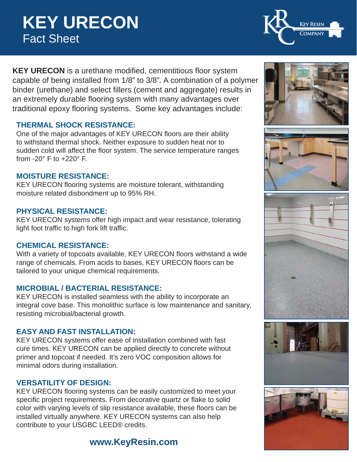# **KEY URECON** Fact Sheet

**KEY URECON** is a urethane modified, cementitious floor system capable of being installed from 1/8" to 3/8". A combination of a polymer binder (urethane) and select fillers (cement and aggregate) results in an extremely durable flooring system with many advantages over traditional epoxy flooring systems. Some key advantages include:

#### **THERMAL SHOCK RESISTANCE:**

One of the major advantages of KEY URECON floors are their ability to withstand thermal shock. Neither exposure to sudden heat nor to sudden cold will affect the floor system. The service temperature ranges from  $-20^\circ$  F to  $+220^\circ$  F.

#### **MOISTURE RESISTANCE:**

KEY URECON flooring systems are moisture tolerant, withstanding moisture related disbondment up to 95% RH.

#### **PHYSICAL RESISTANCE:**

KEY URECON systems offer high impact and wear resistance, tolerating light foot traffic to high fork lift traffic.

#### **CHEMICAL RESISTANCE:**

With a variety of topcoats available, KEY URECON floors withstand a wide range of chemicals. From acids to bases, KEY URECON floors can be tailored to your unique chemical requirements.

#### **MICROBIAL / BACTERIAL RESISTANCE:**

KEY URECON is installed seamless with the ability to incorporate an integral cove base. This monolithic surface is low maintenance and sanitary, resisting microbial/bacterial growth.

#### **EASY AND FAST INSTALLATION:**

KEY URECON systems offer ease of installation combined with fast cure times. KEY URECON can be applied directly to concrete without primer and topcoat if needed. It's zero VOC composition allows for minimal odors during installation.

#### **VERSATILITY OF DESIGN:**

KEY URECON flooring systems can be easily customized to meet your specific project requirements. From decorative quartz or flake to solid color with varying levels of slip resistance available, these floors can be installed virtually anywhere. KEY URECON systems can also help contribute to your USGBC LEED® credits.

## **www.KeyResin.com**